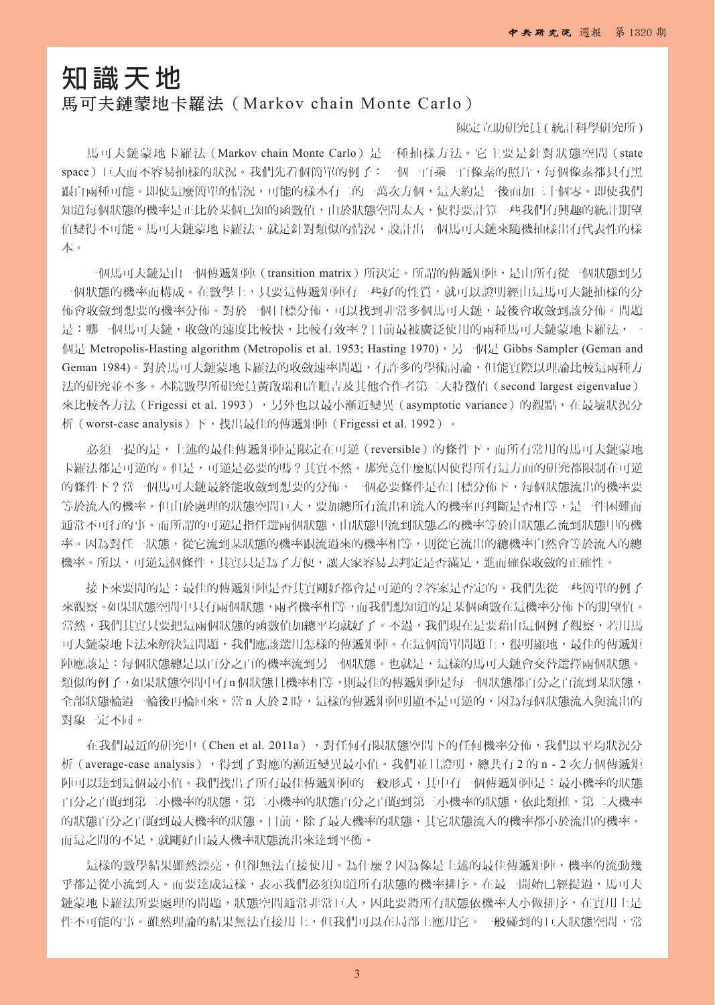## **知識天地**

## 馬可夫鏈蒙地卡羅法(Markov chain Monte Carlo)

## 陳定立助研究員 ( 統計科學研究所 )

馬可夫鏈蒙地卡羅法(Markov chain Monte Carlo)是一種抽樣方法。它主要是針對狀態空間(state space)巨大而不容易抽樣的狀況。我們先看個簡單的例子:一個一百乘一百像素的照片,每個像素都只有黑 跟白兩種可能。即使這麼簡單的情況,可能的樣本有二的一萬次方個,這大約是一後面加三十個零。即使我們 知道每個狀態的機率是正比於某個已知的函數值,由於狀態空間太大,使得要計算一些我們有興趣的統計期望 值變得不可能。馬可夫鏈蒙地卡羅法,就是針對類似的情況,設計出一個馬可夫鏈來隨機抽樣出有代表性的樣 本。

一個馬可夫鏈是由一個傳遞矩陣(transition matrix)所決定。所謂的傳遞矩陣,是由所有從一個狀態到另 一個狀態的機率而構成。在數學上,只要這傳遞矩陣有一些好的性質,就可以證明經由這馬可夫鏈抽樣的分 佈會收斂到想要的機率分佈。對於一個目標分佈,可以找到非常多個馬可夫鏈,最後會收斂到該分佈。問題 是:哪一個馬可夫鏈,收斂的速度比較快,比較有效率?目前最被廣泛使用的兩種馬可夫鏈蒙地卡羅法,一 個是 Metropolis-Hasting algorithm (Metropolis et al. 1953; Hasting 1970), 另一個是 Gibbs Sampler (Geman and Geman 1984)。對於馬可夫鏈蒙地卡羅法的收斂速率問題,有許多的學術討論,但能實際以理論比較這兩種方 法的研究並不多。本院數學所研究員黃啟瑞和許順吉及其他合作者第二大特徵值(second largest eigenvalue) 來比較各方法 (Frigessi et al. 1993), 另外也以最小漸近變異 (asymptotic variance)的觀點, 在最壞狀況分 析(worst-case analysis)下,找出最佳的傳遞矩陣(Frigessi et al. 1992)。

必須一提的是,上述的最佳傳遞矩陣是限定在可逆(reversible)的條件下,而所有常用的馬可夫鏈蒙地 卡羅法都是可逆的。但是,可逆是必要的嗎?其實不然。那究竟什麼原因使得所有這方面的研究都限制在可逆 的條件下?當一個馬可夫鏈最終能收斂到想要的分佈,一個必要條件是在目標分佈下,每個狀態流出的機率要 等於流入的機率。但由於處理的狀態空間巨大,要加總所有流出和流入的機率再判斷是否相等,是一件困難而 通常不可行的事。而所謂的可逆是指任選兩個狀態,由狀態甲流到狀態乙的機率等於由狀態乙流到狀態甲的機 率。因為對任一狀態,從它流到某狀態的機率跟流過來的機率相等,則從它流出的總機率自然會等於流入的總 機率。所以,可逆這個條件,其實只是為了方便,讓大家容易去判定是否滿足,進而確保收斂的正確性。

接下來要問的是:最佳的傳遞矩陣是否其實剛好都會是可逆的?答案是否定的。我們先從一些簡單的例子 來觀察。如果狀態空間中只有兩個狀態,兩者機率相等,而我們想知道的是某個函數在這機率分佈下的期望值。 當然,我們其實只要把這兩個狀態的函數值加總平均就好了。不過,我們現在是要藉由這個例子觀察,若用馬 可夫鏈蒙地卡法來解決這問題,我們應該選用怎樣的傳遞矩陣。在這個簡單問題上,很明顯地,最佳的傳遞矩 陣應該是:每個狀態總是以百分之百的機率流到另一個狀態。也就是,這樣的馬可夫鏈會交替選擇兩個狀態。 類似的例子,如果狀態空間中有 n 個狀態且機率相等,則最佳的傳遞矩陣是每一個狀態都百分之百流到某狀態, 全部狀態輪過一輪後再輪回來。當 n 大於 2 時,這樣的傳遞矩陣明顯不是可逆的,因為每個狀態流入與流出的 對象一定不同。

在我們最近的研究中 (Chen et al. 2011a),對任何有限狀態空間下的任何機率分佈,我們以平均狀況分 析 (average-case analysis),得到了對應的漸近變異最小值。我們並且證明,總共有 2 的 n - 2 次方個傳遞矩 陣可以達到這個最小值。我們找出了所有最佳傳遞矩陣的一般形式,其中有一個傳遞矩陣是:最小機率的狀態 百分之百跑到第二小機率的狀態,為不能的狀態百分之百跑到第三小機率的狀態,依此類推,第二大機率 的狀態百分之百跑到最大機率的狀態。目前,除了最大機率的狀態,其它狀態流入的機率都小於流出的機率。 而這之間的不足,就剛好由最大機率狀態流出來達到平衡。

這樣的數學結果雖然漂亮,但卻無法直接使用。為什麼?因為像是上述的最佳傳遞矩陣,機率的流動幾 乎都是從小流到大。而要達成這樣,表示我們必須知道所有狀態的機率排序。在最一開始已經提過,馬可夫 鏈蒙地卡羅法所要處理的問題,狀態空間通常非常巨大,因此要將所有狀態依機率大小做排序,在實用上是 件不可能的事。雖然理論的結果無法直接用上,但我們可以在局部上應用它。一般碰到的巨大狀態空間,常